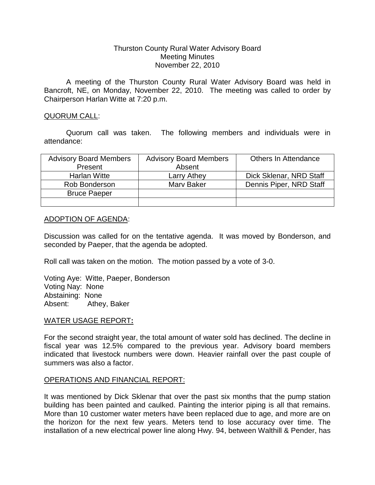# Thurston County Rural Water Advisory Board Meeting Minutes November 22, 2010

A meeting of the Thurston County Rural Water Advisory Board was held in Bancroft, NE, on Monday, November 22, 2010. The meeting was called to order by Chairperson Harlan Witte at 7:20 p.m.

# QUORUM CALL:

Quorum call was taken. The following members and individuals were in attendance:

| <b>Advisory Board Members</b> | <b>Advisory Board Members</b> | <b>Others In Attendance</b> |
|-------------------------------|-------------------------------|-----------------------------|
| Present                       | Absent                        |                             |
| Harlan Witte                  | Larry Athey                   | Dick Sklenar, NRD Staff     |
| Rob Bonderson                 | Mary Baker                    | Dennis Piper, NRD Staff     |
| <b>Bruce Paeper</b>           |                               |                             |
|                               |                               |                             |

# ADOPTION OF AGENDA:

Discussion was called for on the tentative agenda. It was moved by Bonderson, and seconded by Paeper, that the agenda be adopted.

Roll call was taken on the motion. The motion passed by a vote of 3-0.

Voting Aye: Witte, Paeper, Bonderson Voting Nay: None Abstaining: None Absent: Athey, Baker

## WATER USAGE REPORT**:**

For the second straight year, the total amount of water sold has declined. The decline in fiscal year was 12.5% compared to the previous year. Advisory board members indicated that livestock numbers were down. Heavier rainfall over the past couple of summers was also a factor.

## OPERATIONS AND FINANCIAL REPORT:

It was mentioned by Dick Sklenar that over the past six months that the pump station building has been painted and caulked. Painting the interior piping is all that remains. More than 10 customer water meters have been replaced due to age, and more are on the horizon for the next few years. Meters tend to lose accuracy over time. The installation of a new electrical power line along Hwy. 94, between Walthill & Pender, has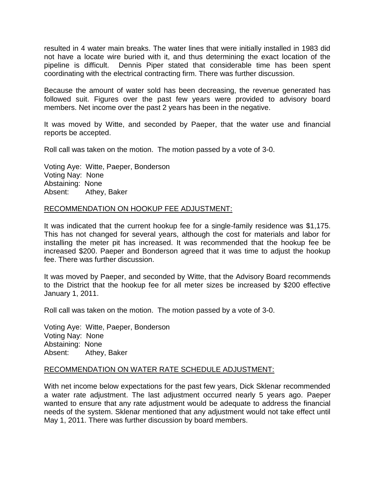resulted in 4 water main breaks. The water lines that were initially installed in 1983 did not have a locate wire buried with it, and thus determining the exact location of the pipeline is difficult. Dennis Piper stated that considerable time has been spent coordinating with the electrical contracting firm. There was further discussion.

Because the amount of water sold has been decreasing, the revenue generated has followed suit. Figures over the past few years were provided to advisory board members. Net income over the past 2 years has been in the negative.

It was moved by Witte, and seconded by Paeper, that the water use and financial reports be accepted.

Roll call was taken on the motion. The motion passed by a vote of 3-0.

Voting Aye: Witte, Paeper, Bonderson Voting Nay: None Abstaining: None Absent: Athey, Baker

#### RECOMMENDATION ON HOOKUP FEE ADJUSTMENT:

It was indicated that the current hookup fee for a single-family residence was \$1,175. This has not changed for several years, although the cost for materials and labor for installing the meter pit has increased. It was recommended that the hookup fee be increased \$200. Paeper and Bonderson agreed that it was time to adjust the hookup fee. There was further discussion.

It was moved by Paeper, and seconded by Witte, that the Advisory Board recommends to the District that the hookup fee for all meter sizes be increased by \$200 effective January 1, 2011.

Roll call was taken on the motion. The motion passed by a vote of 3-0.

Voting Aye: Witte, Paeper, Bonderson Voting Nay: None Abstaining: None Absent: Athey, Baker

#### RECOMMENDATION ON WATER RATE SCHEDULE ADJUSTMENT:

With net income below expectations for the past few years, Dick Sklenar recommended a water rate adjustment. The last adjustment occurred nearly 5 years ago. Paeper wanted to ensure that any rate adjustment would be adequate to address the financial needs of the system. Sklenar mentioned that any adjustment would not take effect until May 1, 2011. There was further discussion by board members.